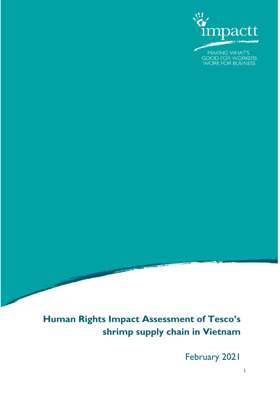

# **Human Rights Impact Assessment of Tesco's shrimp supply chain in Vietnam**

February 2021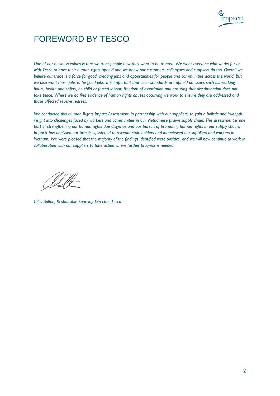

## FOREWORD BY TESCO

*One of our business values is that we treat people how they want to be treated. We want everyone who works for or with Tesco to have their human rights upheld and we know our customers, colleagues and suppliers do too. Overall we believe our trade is a force for good, creating jobs and opportunities for people and communities across the world. But we also want those jobs to be good jobs. It is important that clear standards are upheld on issues such as: working hours, health and safety, no child or forced labour, freedom of association and ensuring that discrimination does not take place. Where we do find evidence of human rights abuses occurring we work to ensure they are addressed and those affected receive redress.*

*We conducted this Human Rights Impact Assessment, in partnership with our suppliers, to gain a holistic and in-depth insight into challenges faced by workers and communities in our Vietnamese prawn supply chain. This assessment is one part of strengthening our human rights due diligence and our pursuit of promoting human rights in our supply chains. Impactt has analysed our practices, listened to relevant stakeholders and interviewed our suppliers and workers in Vietnam. We were pleased that the majority of the findings identified were positive, and we will now continue to work in collaboration with our suppliers to take action where further progress is needed.* 

<u>Il</u>

*Giles Bolton, Responsible Sourcing Director, Tesco*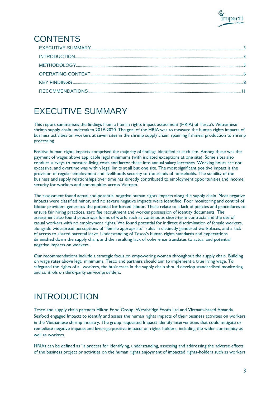

# CONTENTS

# <span id="page-2-0"></span>EXECUTIVE SUMMARY

This report summarises the findings from a human rights impact assessment (HRIA) of Tesco's Vietnamese shrimp supply chain undertaken 2019-2020. The goal of the HRIA was to measure the human rights impacts of business activities on workers at seven sites in the shrimp supply chain, spanning fishmeal production to shrimp processing.

Positive human rights impacts comprised the majority of findings identified at each site. Among these was the payment of wages above applicable legal minimums (with isolated exceptions at one site). Some sites also conduct surveys to measure living costs and factor these into annual salary increases. Working hours are not excessive, and overtime was within legal limits at all but one site. The most significant positive impact is the provision of regular employment and livelihoods security to thousands of households. The stability of the business and supply relationships over time has directly contributed to employment opportunities and income security for workers and communities across Vietnam.

The assessment found actual and potential negative human rights impacts along the supply chain. Most negative impacts were classified minor, and no severe negative impacts were identified. Poor monitoring and control of labour providers generates the potential for forced labour. These relate to a lack of policies and procedures to ensure fair hiring practices, zero fee recruitment and worker possession of identity documents. The assessment also found precarious forms of work, such as continuous short-term contracts and the use of casual workers with no employment rights. We found potential for indirect discrimination of female workers, alongside widespread perceptions of "female appropriate" roles in distinctly gendered workplaces, and a lack of access to shared parental leave. Understanding of Tesco's human rights standards and expectations diminished down the supply chain, and the resulting lack of coherence translates to actual and potential negative impacts on workers.

Our recommendations include a strategic focus on empowering women throughout the supply chain. Building on wage rates above legal minimums, Tesco and partners should aim to implement a true living wage. To safeguard the rights of all workers, the businesses in the supply chain should develop standardised monitoring and controls on third-party service providers.

# <span id="page-2-1"></span>INTRODUCTION

Tesco and supply chain partners Hilton Food Group, Westbridge Foods Ltd and Vietnam-based Amanda Seafood engaged Impactt to identify and assess the human rights impacts of their business activities on workers in the Vietnamese shrimp industry. The group requested Impactt identify interventions that could mitigate or remediate negative impacts and leverage positive impacts on rights-holders, including the wider community as well as workers.

HRIAs can be defined as "a process for identifying, understanding, assessing and addressing the adverse effects of the business project or activities on the human rights enjoyment of impacted rights-holders such as workers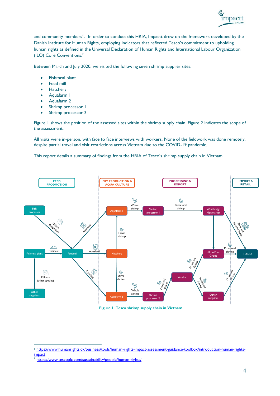

and community members".<sup>1</sup> In order to conduct this HRIA, Impactt drew on the framework developed by the Danish Institute for Human Rights, employing indicators that reflected Tesco's commitment to upholding human rights as defined in the Universal Declaration of Human Rights and International Labour Organization (ILO) Core Conventions.<sup>2</sup>

Between March and July 2020, we visited the following seven shrimp supplier sites:

- Fishmeal plant
- Feed mill
- **Hatchery**
- Aquafarm 1
- Aquafarm 2
- Shrimp processor I
- Shrimp processor 2

Figure 1 shows the position of the assessed sites within the shrimp supply chain. Figure 2 indicates the scope of the assessment.

All visits were in-person, with face to face interviews with workers. None of the fieldwork was done remotely, despite partial travel and visit restrictions across Vietnam due to the COVID-19 pandemic.

This report details a summary of findings from the HRIA of Tesco's shrimp supply chain in Vietnam.



**Figure 1. Tesco shrimp supply chain in Vietnam**

<sup>&</sup>lt;sup>1</sup> [https://www.humanrights.dk/business/tools/human-rights-impact-assessment-guidance-toolbox/introduction-human-rights](https://www.humanrights.dk/business/tools/human-rights-impact-assessment-guidance-toolbox/introduction-human-rights-impact)[impact](https://www.humanrights.dk/business/tools/human-rights-impact-assessment-guidance-toolbox/introduction-human-rights-impact)

<sup>&</sup>lt;sup>2</sup> <https://www.tescoplc.com/sustainability/people/human-rights/>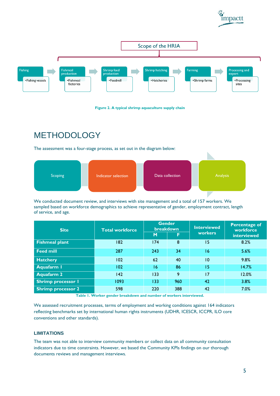





## <span id="page-4-0"></span>**METHODOLOGY**

The assessment was a four-stage process, as set out in the diagram below:



We conducted document review, and interviews with site management and a total of 157 workers. We sampled based on workforce demographics to achieve representative of gender, employment contract, length of service, and age.

| <b>Site</b>               | <b>Total workforce</b> | <b>Gender</b><br>breakdown |     | <b>Interviewed</b> | <b>Percentage of</b><br>workforce |
|---------------------------|------------------------|----------------------------|-----|--------------------|-----------------------------------|
|                           |                        | M                          | F   | <b>workers</b>     | interviewed                       |
| <b>Fishmeal plant</b>     | 182                    | 174                        | 8   | 15                 | 8.2%                              |
| <b>Feed mill</b>          | 287                    | 243                        | 34  | 16                 | 5.6%                              |
| <b>Hatchery</b>           | 102                    | 62                         | 40  | 10                 | 9.8%                              |
| <b>Aquafarm I</b>         | 102                    | 16                         | 86  | 15                 | 14.7%                             |
| <b>Aquafarm 2</b>         | 142                    | 133                        | 9   | 17                 | 12.0%                             |
| <b>Shrimp processor I</b> | 1093                   | 133                        | 960 | 42                 | 3.8%                              |
| Shrimp processor 2        | 598                    | 220                        | 388 | 42                 | 7.0%                              |

**Table 1. Worker gender breakdown and number of workers interviewed.**

We assessed recruitment processes, terms of employment and working conditions against 164 indicators reflecting benchmarks set by international human rights instruments (UDHR, ICESCR, ICCPR, ILO core conventions and other standards).

### **LIMITATIONS**

The team was not able to interview community members or collect data on all community consultation indicators due to time constraints. However, we based the Community KPIs findings on our thorough documents reviews and management interviews.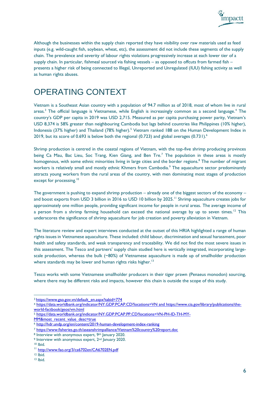

Although the businesses within the supply chain reported they have visibility over raw materials used as feed inputs (e.g. wild-caught fish, soybean, wheat, etc), the assessment did not include these segments of the supply chain. The prevalence and severity of labour rights violations progressively increase at each lower tier of a supply chain. In particular, fishmeal sourced via fishing vessels – as opposed to offcuts from farmed fish – presents a higher risk of being connected to Illegal, Unreported and Unregulated (IUU) fishing activity as well as human rights abuses.

### <span id="page-5-0"></span>OPERATING CONTEXT

Vietnam is a Southeast Asian country with a population of 94.7 million as of 2018, most of whom live in rural areas.<sup>3</sup> The official language is Vietnamese, while English is increasingly common as a second language.<sup>4</sup> The country's GDP per capita in 2019 was USD 2,715. Measured as per capita purchasing power parity, Vietnam's USD 8,374 is 58% greater than neighbouring Cambodia but lags behind countries like Philippines (10% higher), Indonesia (37% higher) and Thailand (78% higher).<sup>5</sup> Vietnam ranked 188 on the Human Development Index in 2019, but its score of 0.693 is below both the regional (0.723) and global averages  $(0.731)$ .<sup>6</sup>

Shrimp production is centred in the coastal regions of Vietnam, with the top-five shrimp producing provinces being Ca Mau, Bac Lieu, Soc Trang, Kien Giang, and Ben Tre.<sup>7</sup> The population in these areas is mostly homogenous, with some ethnic minorities living in large cities and the border regions.<sup>8</sup> The number of migrant workers is relatively small and mostly ethnic Khmers from Cambodia.<sup>9</sup> The aquaculture sector predominantly attracts young workers from the rural areas of the country, with men dominating most stages of production except for processing.<sup>10</sup>

The government is pushing to expand shrimp production – already one of the biggest sectors of the economy – and boost exports from USD 3 billion in 2016 to USD 10 billion by 2025.<sup>11</sup> Shrimp aquaculture creates jobs for approximately one million people, providing significant income for people in rural areas. The average income of a person from a shrimp farming household can exceed the national average by up to seven times.<sup>12</sup> This underscores the significance of shrimp aquaculture for job creation and poverty alleviation in Vietnam.

The literature review and expert interviews conducted at the outset of this HRIA highlighted a range of human rights issues in Vietnamese aquaculture. These included: child labour, discrimination and sexual harassment, poor health and safety standards, and weak transparency and traceability. We did not find the most severe issues in this assessment. The Tesco and partners' supply chain studied here is vertically integrated, incorporating largescale production, whereas the bulk (~80%) of Vietnamese aquaculture is made up of smallholder production where standards may be lower and human rights risks higher.<sup>13</sup>

Tesco works with some Vietnamese smallholder producers in their tiger prawn (Penaeus monodon) sourcing, where there may be different risks and impacts, however this chain is outside the scope of this study.

[MM&most\\_recent\\_value\\_desc=true](https://data.worldbank.org/indicator/NY.GDP.PCAP.PP.CD?locations=VN-PH-ID-TH-MY-MM&most_recent_value_desc=true)

<sup>3</sup> [https://www.gso.gov.vn/default\\_en.aspx?tabid=774](https://www.gso.gov.vn/default_en.aspx?tabid=774)

<sup>4</sup> <https://data.worldbank.org/indicator/NY.GDP.PCAP.CD?locations=VN> and [https://www.cia.gov/library/publications/the](https://www.cia.gov/library/publications/the-world-factbook/geos/vm.html)[world-factbook/geos/vm.html](https://www.cia.gov/library/publications/the-world-factbook/geos/vm.html)

<sup>5</sup> [https://data.worldbank.org/indicator/NY.GDP.PCAP.PP.CD?locations=VN-PH-ID-TH-MY-](https://data.worldbank.org/indicator/NY.GDP.PCAP.PP.CD?locations=VN-PH-ID-TH-MY-MM&most_recent_value_desc=true)

<sup>6</sup> <http://hdr.undp.org/en/content/2019-human-development-index-ranking>

<sup>7</sup> <https://www.fisheries.go.th/aseanshrimpalliance/Vietnam%20country%20report.doc>

<sup>8</sup> Interview with anonymous expert, 9th January 2020.

<sup>&</sup>lt;sup>9</sup> Interview with anonymous expert, 2<sup>nd</sup> January 2020.

<sup>10</sup> Ibid.

<sup>&</sup>lt;sup>11</sup> <http://www.fao.org/3/ca6702en/CA6702EN.pdf>

 $12$  Ibid.

<sup>13</sup> Ibid.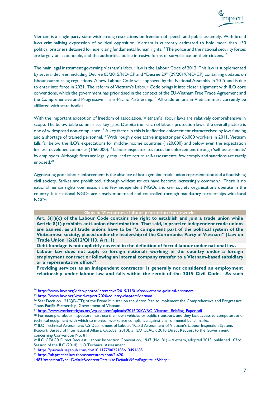

Vietnam is a single-party state with strong restrictions on freedom of speech and public assembly. With broad laws criminalising expression of political opposition, Vietnam is currently estimated to hold more than 130 political prisoners detained for exercising fundamental human rights.<sup>14</sup> The police and the national security forces are largely unaccountable, and the authorities utilise intrusive forms of surveillance on their citizens.<sup>15</sup>

The main legal instrument governing Vietnam's labour law is the Labour Code of 2012. This law is supplemented by several decrees, including Decree 05/2015/ND-CP and "Decree 29" (29/2019/ND-CP) containing updates on labour outsourcing regulations. A new Labour Code was approved by the National Assembly in 2019 and is due to enter into force in 2021. The reform of Vietnam's Labour Code brings it into closer alignment with ILO core conventions, which the government has prioritised in the context of the EU-Vietnam Free Trade Agreement and the Comprehensive and Progressive Trans-Pacific Partnership.<sup>16</sup> All trade unions in Vietnam must currently be affiliated with state bodies.

With the important exception of freedom of association, Vietnam's labour laws are relatively comprehensive in scope. The below table summarises key gaps. Despite the reach of labour protection laws, the overall picture is one of widespread non-compliance.<sup>17</sup> A key factor in this is ineffective enforcement characterised by low funding and a shortage of trained personnel.<sup>18</sup> With roughly one active inspector per 66,000 workers in 2011, Vietnam falls far below the ILO's expectations for middle-income countries (1/20,000) and below even the expectation for less-developed countries (1/60,000).<sup>19</sup> Labour inspectorates focus on enforcement through 'self-assessments' by employers. Although firms are legally required to return self-assessments, few comply and sanctions are rarely imposed.<sup>20</sup>

Aggravating poor labour enforcement is the absence of both genuine trade union representation and a flourishing civil society. Strikes are prohibited, although wildcat strikes have become increasingly common. <sup>21</sup> There is no national human rights commission and few independent NGOs and civil society organisations operate in the country. International NGOs are closely monitored and controlled through mandatory partnerships with local NGOs.

#### **Gaps in Vietnamese labour protection frameworks**

**Art. 5(1)(c) of the Labour Code contains the right to establish and join a trade union while Article 8(1) prohibits anti-union discrimination. That said, in practice independent trade unions are banned, as all trade unions have to be "a component part of the political system of the Vietnamese society, placed under the leadership of the Communist Party of Vietnam" (Law on Trade Union 12/2012/QH13, Art. 1)**

**Debt bondage is not explicitly covered in the definition of forced labour under national law. Labour law does not apply to foreign nationals working in the country under a foreign employment contract or following an internal company transfer to a Vietnam-based subsidiary or a representative office.<sup>22</sup>**

**Providing services as an independent contractor is generally not considered an employment relationship under labour law and falls within the remit of the 2015 Civil Code. As such** 

<sup>15</sup> <https://www.hrw.org/world-report/2020/country-chapters/vietnam>

<sup>19</sup> ILO Technical Assessment; US Department of Labour, 'Rapid Assessment of Vietnam's Labour Inspection System, (Report, Bureau of International Affairs, October 2010), 5; ILO CEACR 2010 Direct Request to the Government concerning Convention No. 81

<sup>&</sup>lt;sup>14</sup> <https://www.hrw.org/video-photos/interactive/2019/11/01/free-vietnams-political-prisoners>

<sup>16</sup> See: Decision 121/QD-TTg of the Prime Minister on the Acton Plan to implement the Comprehensive and Progressive Trans-Pacific Partnership, Government of Vietnam.

<sup>17</sup> [https://www.workersrights.org/wp-content/uploads/2016/02/WRC\\_Vietnam\\_Briefing\\_Paper.pdf](https://www.workersrights.org/wp-content/uploads/2016/02/WRC_Vietnam_Briefing_Paper.pdf)

<sup>&</sup>lt;sup>18</sup> For example, labour inspectors must use their own vehicles or public transport, and they lack access to computers and technical equipment with which to monitor workplace compliance against environmental benchmarks.

<sup>20</sup> ILO CEACR Direct Request, Labour Inspection Convention, 1947 (No. 81) – Vietnam, adopted 2013, published 103rd Session of the ILC (2014); ILO Technical Assessment.

<sup>21</sup> <https://journals.sagepub.com/doi/10.1177/0022185613491685>

<sup>22</sup> [https://uk.practicallaw.thomsonreuters.com/2-620-](https://uk.practicallaw.thomsonreuters.com/2-620-1483?transitionType=Default&contextData=(sc.Default)&firstPage=true&bhcp=1)

[<sup>1483?</sup>transitionType=Default&contextData=\(sc.Default\)&firstPage=true&bhcp=1](https://uk.practicallaw.thomsonreuters.com/2-620-1483?transitionType=Default&contextData=(sc.Default)&firstPage=true&bhcp=1)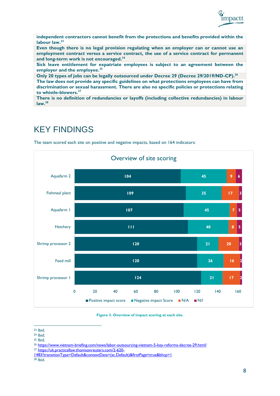

**independent contractors cannot benefit from the protections and benefits provided within the labour law.<sup>23</sup>**

**Even though there is no legal provision regulating when an employer can or cannot use an employment contract versus a service contract, the use of a service contract for permanent and long-term work is not encouraged.<sup>24</sup>**

**Sick leave entitlement for expatriate employees is subject to an agreement between the employer and the employee.<sup>25</sup>**

**Only 20 types of jobs can be legally outsourced under Decree 29 (Decree 29/2019/ND-CP). 26**

**The law does not provide any specific guidelines on what protections employees can have from discrimination or sexual harassment. There are also no specific policies or protections relating to whistle-blowers.<sup>27</sup>**

**There is no definition of redundancies or layoffs (including collective redundancies) in labour law.<sup>28</sup>**

### <span id="page-7-0"></span>KEY FINDINGS

The team scored each site on positive and negative impacts, based on 164 indicators:



**Figure 3. Overview of impact scoring at each site.**

<sup>27</sup> [https://uk.practicallaw.thomsonreuters.com/2-620-](https://uk.practicallaw.thomsonreuters.com/2-620-1483?transitionType=Default&contextData=(sc.Default)&firstPage=true&bhcp=1)

<sup>23</sup> Ibid.

<sup>24</sup> Ibid.

<sup>25</sup> Ibid.

<sup>&</sup>lt;sup>26</sup> <https://www.vietnam-briefing.com/news/labor-outsourcing-vietnam-5-key-reforms-decree-29.html/>

[<sup>1483?</sup>transitionType=Default&contextData=\(sc.Default\)&firstPage=true&bhcp=1](https://uk.practicallaw.thomsonreuters.com/2-620-1483?transitionType=Default&contextData=(sc.Default)&firstPage=true&bhcp=1)

 $28$  Ibid.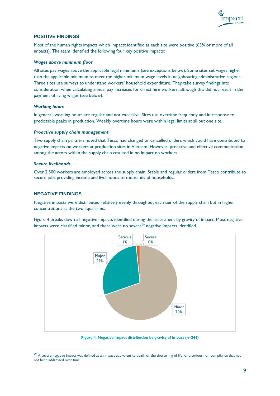

### **POSITIVE FINDINGS**

Most of the human rights impacts which Impactt identified at each site were positive (63% or more of all impacts). The team identified the following four key positive impacts:

#### *Wages above minimum floor*

All sites pay wages above the applicable legal minimums (see exceptions below). Some sites set wages higher than the applicable minimum to meet the higher minimum wage levels in neighbouring administrative regions. Three sites use surveys to understand workers' household expenditure. They take survey findings into consideration when calculating annual pay increases for direct hire workers, although this did not result in the payment of living wages (see below).

#### *Working hours*

In general, working hours are regular and not excessive. Sites use overtime frequently and in response to predictable peaks in production. Weekly overtime hours were within legal limits at all but one site.

#### *Proactive supply chain management*

Two supply chain partners noted that Tesco had changed or cancelled orders which could have contributed to negative impacts on workers at production sites in Vietnam. However, proactive and effective communication among the actors within the supply chain resulted in no impact on workers.

#### *Secure livelihoods*

Over 2,500 workers are employed across the supply chain. Stable and regular orders from Tesco contribute to secure jobs providing income and livelihoods to thousands of households.

#### **NEGATIVE FINDINGS**

Negative impacts were distributed relatively evenly throughout each tier of the supply chain but in higher concentrations at the two aquafarms.

Figure 4 breaks down all negative impacts identified during the assessment by gravity of impact. Most negative impacts were classified minor, and there were no severe<sup>29</sup> negative impacts identified.



**Figure 4. Negative impact distribution by gravity of impact (n=244)** 

 $29$  A severe negative impact was defined as an impact equivalent to death or the shortening of life, or a serious non-compliance that had not been addressed over time.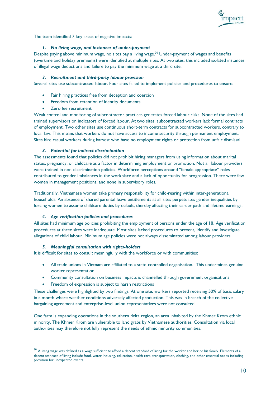

The team identified 7 key areas of negative impacts:

#### *1. No living wage, and instances of under-payment*

Despite paying above minimum wage, no sites pay a living wage.<sup>30</sup> Under-payment of wages and benefits (overtime and holiday premiums) were identified at multiple sites. At two sites, this included isolated instances of illegal wage deductions and failure to pay the minimum wage at a third site.

#### *2. Recruitment and third-party labour provision*

Several sites use subcontracted labour. Four sites failed to implement policies and procedures to ensure:

- Fair hiring practices free from deception and coercion
- Freedom from retention of identity documents
- Zero fee recruitment

Weak control and monitoring of subcontractor practices generates forced labour risks. None of the sites had trained supervisors on indicators of forced labour. At two sites, subcontracted workers lack formal contracts of employment. Two other sites use continuous short-term contracts for subcontracted workers, contrary to local law. This means that workers do not have access to income security through permanent employment. Sites hire casual workers during harvest who have no employment rights or protection from unfair dismissal.

#### *3. Potential for indirect discrimination*

The assessments found that policies did not prohibit hiring managers from using information about marital status, pregnancy, or childcare as a factor in determining employment or promotion. Not all labour providers were trained in non-discrimination policies. Workforce perceptions around "female appropriate" roles contributed to gender imbalances in the workplace and a lack of opportunity for progression. There were few women in management positions, and none in supervisory roles.

Traditionally, Vietnamese women take primary responsibility for child-rearing within inter-generational households. An absence of shared parental leave entitlements at all sites perpetuates gender inequalities by forcing women to assume childcare duties by default, thereby affecting their career path and lifetime earnings.

#### *4. Age verification policies and procedures*

All sites had minimum age policies prohibiting the employment of persons under the age of 18. Age verification procedures at three sites were inadequate. Most sites lacked procedures to prevent, identify and investigate allegations of child labour. Minimum age policies were not always disseminated among labour providers.

#### *5. Meaningful consultation with rights-holders*

It is difficult for sites to consult meaningfully with the workforce or with communities:

- All trade unions in Vietnam are affiliated to a state-controlled organisation. This undermines genuine worker representation
- Community consultation on business impacts is channelled through government organisations
- Freedom of expression is subject to harsh restrictions

These challenges were highlighted by two findings. At one site, workers reported receiving 50% of basic salary in a month where weather conditions adversely affected production. This was in breach of the collective bargaining agreement and enterprise-level union representatives were not consulted.

One farm is expanding operations in the southern delta region, an area inhabited by the Khmer Krom ethnic minority. The Khmer Krom are vulnerable to land grabs by Vietnamese authorities. Consultation via local authorities may therefore not fully represent the needs of ethnic minority communities.

<sup>&</sup>lt;sup>30</sup> A living wage was defined as a wage sufficient to afford a decent standard of living for the worker and her or his family. Elements of a decent standard of living include food, water, housing, education, health care, transportation, clothing, and other essential needs including provision for unexpected events.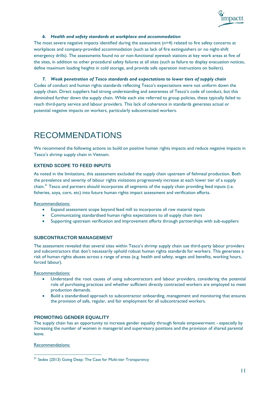

#### *6. Health and safety standards at workplace and accommodation*

The most severe negative impacts identified during the assessment  $(n=4)$  related to fire safety concerns at workplaces and company-provided accommodation (such as lack of fire extinguishers or no night-shift emergency drills). The assessments found no or non-functional eyewash stations at key work areas at five of the sites, in addition to other procedural safety failures at all sites (such as failure to display evacuation notices, define maximum loading heights in cold storage, and provide safe operation instructions on boilers).

#### *7. Weak penetration of Tesco standards and expectations to lower tiers of supply chain*

Codes of conduct and human rights standards reflecting Tesco's expectations were not uniform down the supply chain. Direct suppliers had strong understanding and awareness of Tesco's code of conduct, but this diminished further down the supply chain. While each site referred to group policies, these typically failed to reach third-party service and labour providers. This lack of coherence in standards generates actual or potential negative impacts on workers, particularly subcontracted workers.

# <span id="page-10-0"></span>RECOMMENDATIONS

We recommend the following actions to build on positive human rights impacts and reduce negative impacts in Tesco's shrimp supply chain in Vietnam.

### **EXTEND SCOPE TO FEED INPUTS**

As noted in the limitations, this assessment excluded the supply chain upstream of fishmeal production. Both the prevalence and severity of labour rights violations progressively increase at each lower tier of a supply chain.<sup>31</sup> Tesco and partners should incorporate all segments of the supply chain providing feed inputs (i.e. fisheries, soya, corn, etc) into future human rights impact assessment and verification efforts.

Recommendations:

- Expand assessment scope beyond feed mill to incorporate all raw material inputs
- Communicating standardised human rights expectations to all supply chain tiers
- Supporting upstream verification and improvement efforts through partnerships with sub-suppliers

### **SUBCONTRACTOR MANAGEMENT**

The assessment revealed that several sites within Tesco's shrimp supply chain use third-party labour providers and subcontractors that don't necessarily uphold robust human rights standards for workers. This generates a risk of human rights abuses across a range of areas (e.g. health and safety, wages and benefits, working hours, forced labour).

Recommendations:

- Understand the root causes of using subcontractors and labour providers, considering the potential role of purchasing practices and whether sufficient directly contracted workers are employed to meet production demands.
- Build a standardised approach to subcontractor onboarding, management and monitoring that ensures the provision of safe, regular, and fair employment for all subcontracted workers.

#### **PROMOTING GENDER EQUALITY**

The supply chain has an opportunity to increase gender equality through female empowerment - especially by increasing the number of women in managerial and supervisory positions and the provision of shared parental leave.

Recommendations:

<sup>&</sup>lt;sup>31</sup> Sedex (2013) Going Deep: The Case for Multi-tier Transparency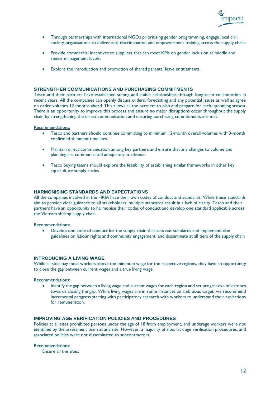

- Through partnerships with international NGOs prioritising gender programming, engage local civil society organisations to deliver anti-discrimination and empowerment training across the supply chain.
- Provide commercial incentives to suppliers that can meet KPIs on gender inclusion at middle and senior management levels.
- Explore the introduction and promotion of shared parental leave entitlements.

### **STRENGTHEN COMMUNICATIONS AND PURCHASING COMMITMENTS**

Tesco and their partners have established strong and stable relationships through long-term collaboration in recent years. All the companies can openly discuss orders, forecasting and any potential issues as well as agree on order volumes 12 months ahead. This allows all the partners to plan and prepare for each upcoming season. There is an opportunity to improve this process and ensure no major disruptions occur throughout the supply chain by strengthening the direct communication and ensuring purchasing commitments are met.

Recommendations:

- Tesco and partners should continue committing to minimum 12-month overall volumes with 3-month confirmed shipment timelines
- Maintain direct communication among key partners and ensure that any changes to volume and planning are communicated adequately in advance
- Tesco buying teams should explore the feasibility of establishing similar frameworks in other key aquaculture supply chains

#### **HARMONISING STANDARDS AND EXPECTATIONS**

All the companies involved in the HRIA have their own codes of conduct and standards. While these standards aim to provide clear guidance to all stakeholders, multiple standards result in a lack of clarity. Tesco and their partners have an opportunity to harmonise their codes of conduct and develop one standard applicable across the Vietnam shrimp supply chain.

#### Recommendations:

• Develop one code of conduct for the supply chain that sets out standards and implementation guidelines on labour rights and community engagement, and disseminate at all tiers of the supply chain

#### **INTRODUCING A LIVING WAGE**

While all sites pay most workers above the minimum wage for the respective regions, they have an opportunity to close the gap between current wages and a true living wage.

Recommendations:

• Identify the gap between a living wage and current wages for each region and set progressive milestones towards closing the gap. While living wages are in some instances an ambitious target, we recommend incremental progress starting with participatory research with workers to understand their aspirations for remuneration.

#### **IMPROVING AGE VERIFICATION POLICIES AND PROCEDURES**

Policies at all sites prohibited persons under the age of 18 from employment, and underage workers were not identified by the assessment team at any site. However, a majority of sites lack age verification procedures, and associated policies were not disseminated to subcontractors.

#### Recommendations:

Ensure all the sites: